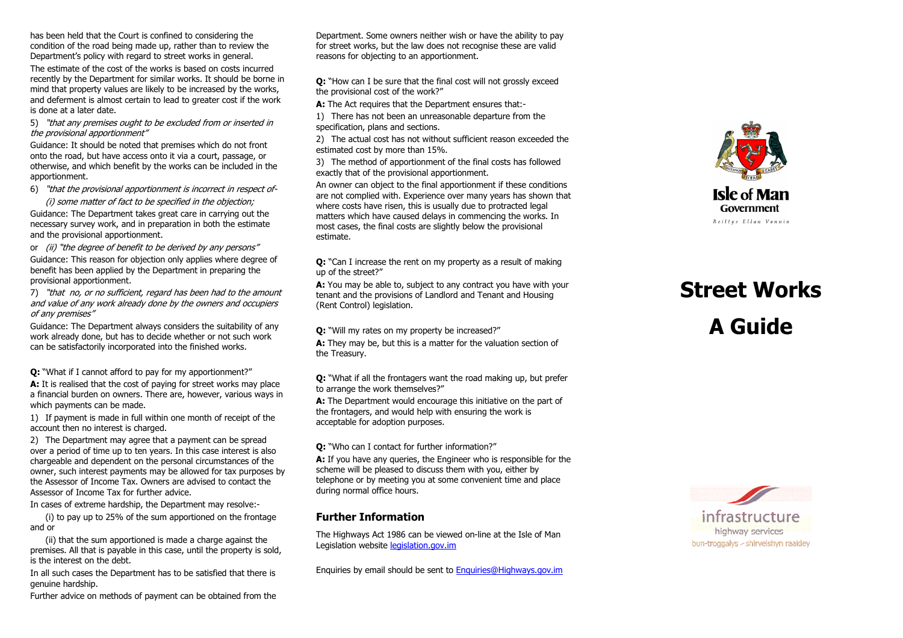has been held that the Court is confined to considering the condition of the road being made up, rather than to review the Department's policy with regard to street works in general.

The estimate of the cost of the works is based on costs incurred recently by the Department for similar works. It should be borne in mind that property values are likely to be increased by the works, and deferment is almost certain to lead to greater cost if the work is done at a later date.

5) "that any premises ought to be excluded from or inserted in the provisional apportionment"

 Guidance: It should be noted that premises which do not front onto the road, but have access onto it via a court, passage, or otherwise, and which benefit by the works can be included in the apportionment.

6) "that the provisional apportionment is incorrect in respect of-

 (i) some matter of fact to be specified in the objection; Guidance: The Department takes great care in carrying out the necessary survey work, and in preparation in both the estimate and the provisional apportionment.

or *(ii)* "the degree of benefit to be derived by any persons" Guidance: This reason for objection only applies where degree of benefit has been applied by the Department in preparing the provisional apportionment.

7) "that no, or no sufficient, regard has been had to the amount and value of any work already done by the owners and occupiers of any premises"

Guidance: The Department always considers the suitability of any work already done, but has to decide whether or not such work can be satisfactorily incorporated into the finished works.

Q: "What if I cannot afford to pay for my apportionment?"

A: It is realised that the cost of paying for street works may place a financial burden on owners. There are, however, various ways in which payments can be made.

1) If payment is made in full within one month of receipt of the account then no interest is charged.

2) The Department may agree that a payment can be spread over a period of time up to ten years. In this case interest is also chargeable and dependent on the personal circumstances of the owner, such interest payments may be allowed for tax purposes by the Assessor of Income Tax. Owners are advised to contact the Assessor of Income Tax for further advice.

In cases of extreme hardship, the Department may resolve:-

 (i) to pay up to 25% of the sum apportioned on the frontage and or

 (ii) that the sum apportioned is made a charge against the premises. All that is payable in this case, until the property is sold, is the interest on the debt.

In all such cases the Department has to be satisfied that there is genuine hardship.

Further advice on methods of payment can be obtained from the

Department. Some owners neither wish or have the ability to pay for street works, but the law does not recognise these are valid reasons for objecting to an apportionment.

Q: "How can I be sure that the final cost will not grossly exceed the provisional cost of the work?"

A: The Act requires that the Department ensures that:-

1) There has not been an unreasonable departure from the specification, plans and sections.

2) The actual cost has not without sufficient reason exceeded the estimated cost by more than 15%.

3) The method of apportionment of the final costs has followed exactly that of the provisional apportionment.

 An owner can object to the final apportionment if these conditions are not complied with. Experience over many years has shown that where costs have risen, this is usually due to protracted legal matters which have caused delays in commencing the works. In most cases, the final costs are slightly below the provisional estimate.

Q: "Can I increase the rent on my property as a result of making up of the street?"

A: You may be able to, subject to any contract you have with your tenant and the provisions of Landlord and Tenant and Housing (Rent Control) legislation.

Q: "Will my rates on my property be increased?"

A: They may be, but this is a matter for the valuation section of the Treasury.

Q: "What if all the frontagers want the road making up, but prefer to arrange the work themselves?"

A: The Department would encourage this initiative on the part of the frontagers, and would help with ensuring the work is acceptable for adoption purposes.

Q: "Who can I contact for further information?"

A: If you have any queries, the Engineer who is responsible for the scheme will be pleased to discuss them with you, either by telephone or by meeting you at some convenient time and place during normal office hours.

## Further Information

The Highways Act 1986 can be viewed on-line at the Isle of Man Legislation website legislation.gov.im

Enquiries by email should be sent to **Enquiries@Highways.gov.im** 



# Street Works A Guide